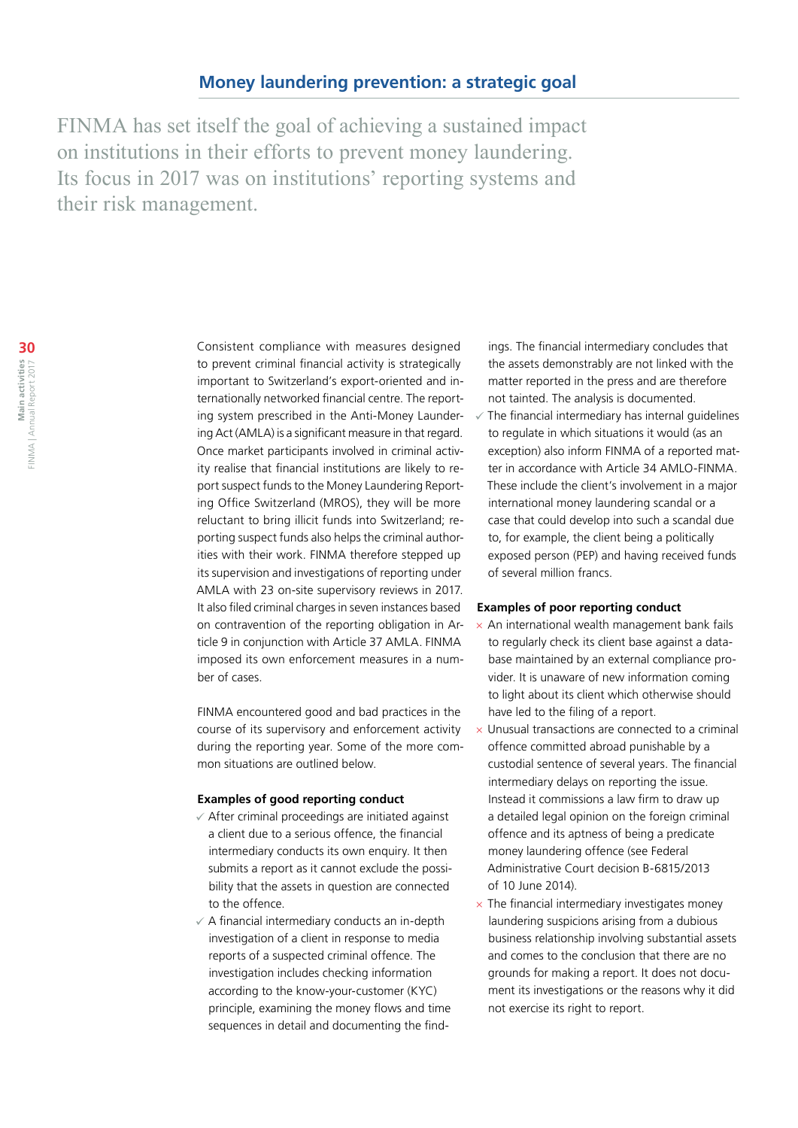FINMA has set itself the goal of achieving a sustained impact on institutions in their efforts to prevent money laundering. Its focus in 2017 was on institutions' reporting systems and their risk management.

> Consistent compliance with measures designed to prevent criminal financial activity is strategically important to Switzerland's export-oriented and internationally networked financial centre. The reporting system prescribed in the Anti-Money Laundering Act (AMLA) is a significant measure in that regard. Once market participants involved in criminal activity realise that financial institutions are likely to report suspect funds to the Money Laundering Reporting Office Switzerland (MROS), they will be more reluctant to bring illicit funds into Switzerland; reporting suspect funds also helps the criminal authorities with their work. FINMA therefore stepped up its supervision and investigations of reporting under AMLA with 23 on-site supervisory reviews in 2017. It also filed criminal charges in seven instances based on contravention of the reporting obligation in Article 9 in conjunction with Article 37 AMLA. FINMA imposed its own enforcement measures in a number of cases.

> FINMA encountered good and bad practices in the course of its supervisory and enforcement activity during the reporting year. Some of the more common situations are outlined below.

#### **Examples of good reporting conduct**

- $\checkmark$  After criminal proceedings are initiated against a client due to a serious offence, the financial intermediary conducts its own enquiry. It then submits a report as it cannot exclude the possibility that the assets in question are connected to the offence.
- $\checkmark$  A financial intermediary conducts an in-depth investigation of a client in response to media reports of a suspected criminal offence. The investigation includes checking information according to the know-your-customer (KYC) principle, examining the money flows and time sequences in detail and documenting the find-

ings. The financial intermediary concludes that the assets demonstrably are not linked with the matter reported in the press and are therefore not tainted. The analysis is documented.

 The financial intermediary has internal guidelines to regulate in which situations it would (as an exception) also inform FINMA of a reported matter in accordance with Article 34 AMLO-FINMA. These include the client's involvement in a major international money laundering scandal or a case that could develop into such a scandal due to, for example, the client being a politically exposed person (PEP) and having received funds of several million francs.

## **Examples of poor reporting conduct**

- $\times$  An international wealth management bank fails to regularly check its client base against a database maintained by an external compliance provider. It is unaware of new information coming to light about its client which otherwise should have led to the filing of a report.
- $\times$  Unusual transactions are connected to a criminal offence committed abroad punishable by a custodial sentence of several years. The financial intermediary delays on reporting the issue. Instead it commissions a law firm to draw up a detailed legal opinion on the foreign criminal offence and its aptness of being a predicate money laundering offence (see Federal Administrative Court decision B-6815/2013 of 10 June 2014).
- $\times$  The financial intermediary investigates money laundering suspicions arising from a dubious business relationship involving substantial assets and comes to the conclusion that there are no grounds for making a report. It does not document its investigations or the reasons why it did not exercise its right to report.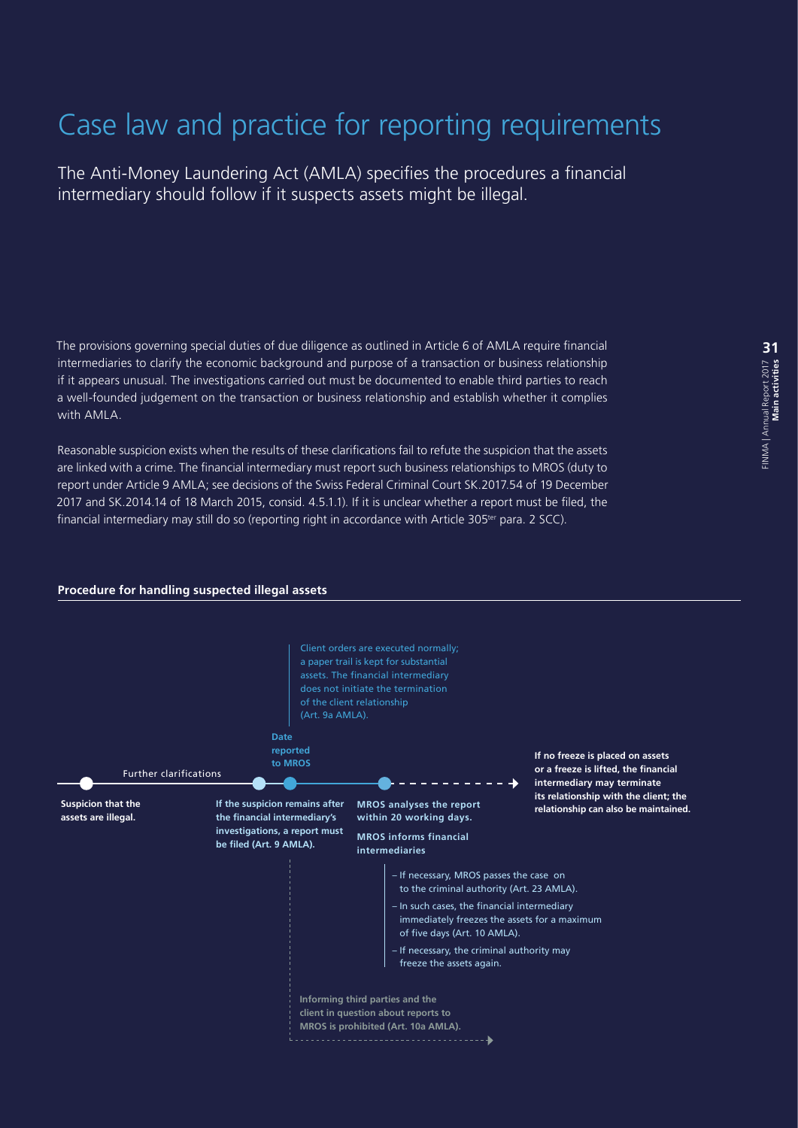# Case law and practice for reporting requirements

The Anti-Money Laundering Act (AMLA) specifies the procedures a financial intermediary should follow if it suspects assets might be illegal.

The provisions governing special duties of due diligence as outlined in Article 6 of AMLA require financial intermediaries to clarify the economic background and purpose of a transaction or business relationship if it appears unusual. The investigations carried out must be documented to enable third parties to reach a well-founded judgement on the transaction or business relationship and establish whether it complies with AMLA.

Reasonable suspicion exists when the results of these clarifications fail to refute the suspicion that the assets are linked with a crime. The financial intermediary must report such business relationships to MROS (duty to report under Article 9 AMLA; see decisions of the Swiss Federal Criminal Court SK.2017.54 of 19 December 2017 and SK.2014.14 of 18 March 2015, consid. 4.5.1.1). If it is unclear whether a report must be filed, the financial intermediary may still do so (reporting right in accordance with Article 305<sup>ter</sup> para. 2 SCC).

### **Procedure for handling suspected illegal assets**

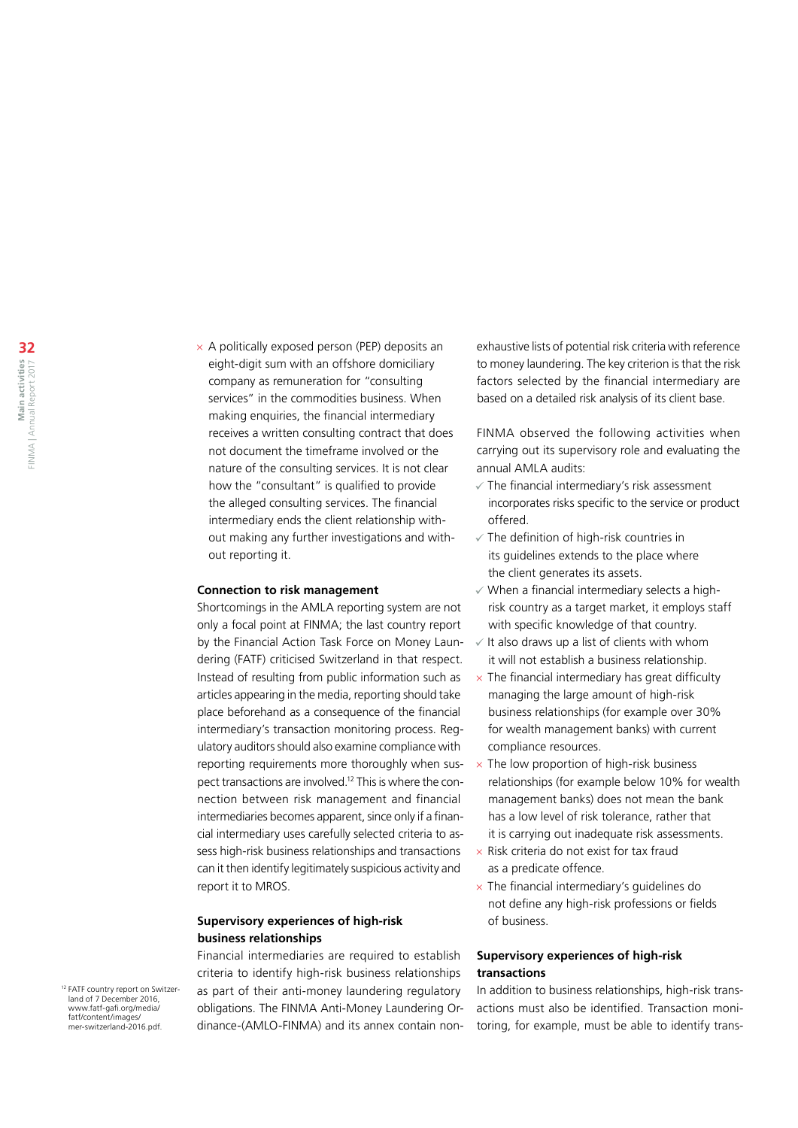$\times$  A politically exposed person (PEP) deposits an eight-digit sum with an offshore domiciliary company as remuneration for "consulting services" in the commodities business. When making enquiries, the financial intermediary receives a written consulting contract that does not document the timeframe involved or the nature of the consulting services. It is not clear how the "consultant" is qualified to provide the alleged consulting services. The financial intermediary ends the client relationship without making any further investigations and without reporting it.

#### **Connection to risk management**

Shortcomings in the AMLA reporting system are not only a focal point at FINMA; the last country report by the Financial Action Task Force on Money Laundering (FATF) criticised Switzerland in that respect. Instead of resulting from public information such as articles appearing in the media, reporting should take place beforehand as a consequence of the financial intermediary's transaction monitoring process. Regulatory auditors should also examine compliance with reporting requirements more thoroughly when suspect transactions are involved.12 This is where the connection between risk management and financial intermediaries becomes apparent, since only if a financial intermediary uses carefully selected criteria to assess high-risk business relationships and transactions can it then identify legitimately suspicious activity and report it to MROS.

## **Supervisory experiences of high-risk business relationships**

Financial intermediaries are required to establish criteria to identify high-risk business relationships as part of their anti-money laundering regulatory obligations. The FINMA Anti-Money Laundering Ordinance-(AMLO-FINMA) and its annex contain nonexhaustive lists of potential risk criteria with reference to money laundering. The key criterion is that the risk factors selected by the financial intermediary are based on a detailed risk analysis of its client base.

FINMA observed the following activities when carrying out its supervisory role and evaluating the annual AMLA audits:

- $\checkmark$  The financial intermediary's risk assessment incorporates risks specific to the service or product offered.
- $\checkmark$  The definition of high-risk countries in its guidelines extends to the place where the client generates its assets.
- $\checkmark$  When a financial intermediary selects a highrisk country as a target market, it employs staff with specific knowledge of that country.
- It also draws up a list of clients with whom it will not establish a business relationship.
- The financial intermediary has great difficulty managing the large amount of high-risk business relationships (for example over 30% for wealth management banks) with current compliance resources.
- $\times$  The low proportion of high-risk business relationships (for example below 10% for wealth management banks) does not mean the bank has a low level of risk tolerance, rather that it is carrying out inadequate risk assessments.
- $\times$  Risk criteria do not exist for tax fraud as a predicate offence.
- $\times$  The financial intermediary's quidelines do not define any high-risk professions or fields of business.

## **Supervisory experiences of high-risk transactions**

In addition to business relationships, high-risk transactions must also be identified. Transaction monitoring, for example, must be able to identify trans-

12 FATF country report on Switzerland of 7 December 2016, [www.fatf-gafi.org/media/](http://www.fatf-gafi.org/media/fatf/content/images/mer-switzerland-2016.pdf) [fatf/content/images/](http://www.fatf-gafi.org/media/fatf/content/images/mer-switzerland-2016.pdf) [mer-switzerland-2016.pdf.](http://www.fatf-gafi.org/media/fatf/content/images/mer-switzerland-2016.pdf)